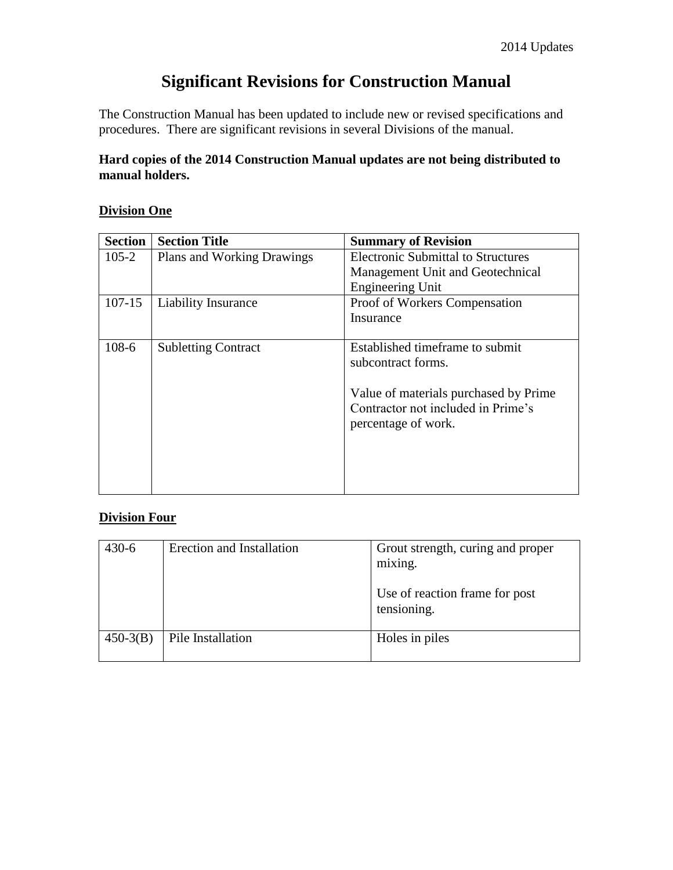# **Significant Revisions for Construction Manual**

The Construction Manual has been updated to include new or revised specifications and procedures. There are significant revisions in several Divisions of the manual.

#### **Hard copies of the 2014 Construction Manual updates are not being distributed to manual holders.**

#### **Division One**

| <b>Section</b> | <b>Section Title</b>              | <b>Summary of Revision</b>                |
|----------------|-----------------------------------|-------------------------------------------|
| $105 - 2$      | <b>Plans and Working Drawings</b> | <b>Electronic Submittal to Structures</b> |
|                |                                   | Management Unit and Geotechnical          |
|                |                                   | <b>Engineering Unit</b>                   |
| $107 - 15$     | Liability Insurance               | Proof of Workers Compensation             |
|                |                                   | Insurance                                 |
|                |                                   |                                           |
| $108-6$        | <b>Subletting Contract</b>        | Established timeframe to submit           |
|                |                                   | subcontract forms.                        |
|                |                                   |                                           |
|                |                                   | Value of materials purchased by Prime     |
|                |                                   | Contractor not included in Prime's        |
|                |                                   | percentage of work.                       |
|                |                                   |                                           |
|                |                                   |                                           |
|                |                                   |                                           |
|                |                                   |                                           |

#### **Division Four**

| $430 - 6$  | Erection and Installation | Grout strength, curing and proper<br>mixing.  |
|------------|---------------------------|-----------------------------------------------|
|            |                           | Use of reaction frame for post<br>tensioning. |
| $450-3(B)$ | Pile Installation         | Holes in piles                                |